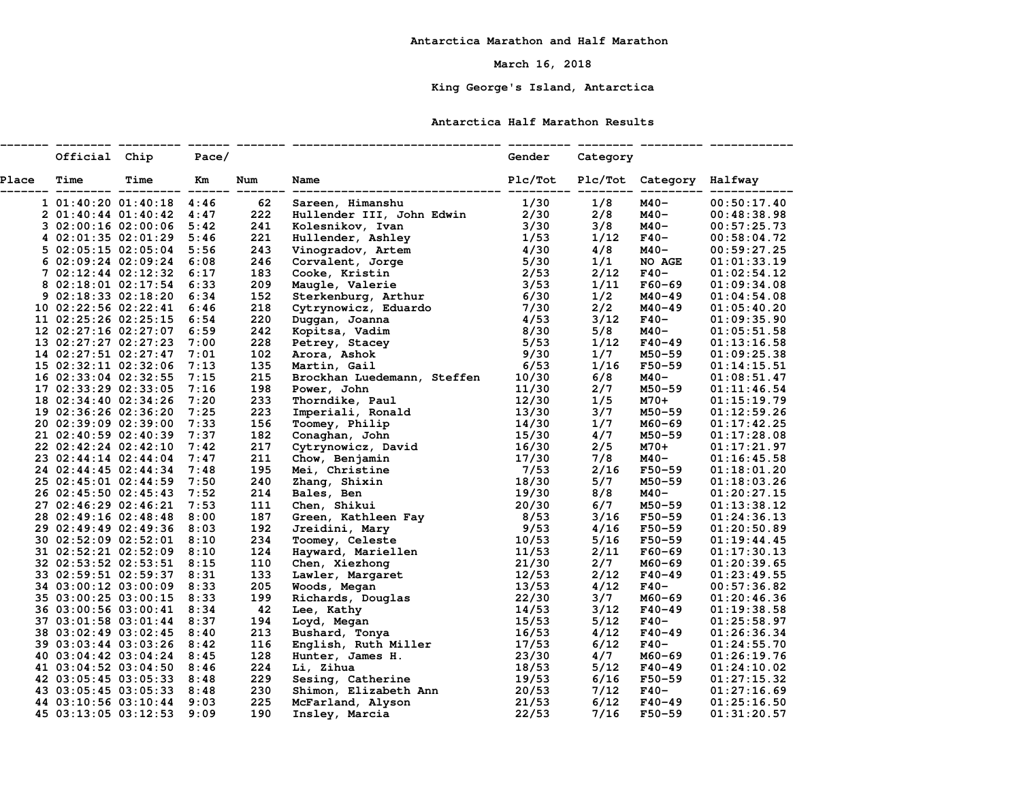## **March 16, 2018**

# **King George's Island, Antarctica**

### **Antarctica Half Marathon Results**

|       | Official Chip |                                                                                                                                                                                                                             | Pace/ |     |                                                                                                                                                                                                                                                            | Gender | Category |                                  |             |
|-------|---------------|-----------------------------------------------------------------------------------------------------------------------------------------------------------------------------------------------------------------------------|-------|-----|------------------------------------------------------------------------------------------------------------------------------------------------------------------------------------------------------------------------------------------------------------|--------|----------|----------------------------------|-------------|
| Place | Time          | Time                                                                                                                                                                                                                        | Km    | Num | Name                                                                                                                                                                                                                                                       |        |          | Plc/Tot Plc/Tot Category Halfway |             |
|       |               | 1 01:40:20 01:40:18 4:46 62<br>2 01:40:44 01:40:42 4:47 222<br>3 02:00:16 02:00:06 5:42 241<br>4 02:01:35 02:01:29 5:46 221<br>5 02:05:15 02:05:04 5:56 243<br>6 02:09:24 02:09:24 6:08 246<br>7 02:12:44 02:12:32 6:17 183 |       |     | Sareen, Himanshu<br>Hullender III, John Edwin 2/30<br>Kolesnikov, Ivan 3/30<br>Hullender, Ashley 1/53<br>Vinogradov Artem 1/30                                                                                                                             |        | 1/8      | M40-                             | 00:50:17.40 |
|       |               |                                                                                                                                                                                                                             |       |     |                                                                                                                                                                                                                                                            |        | 2/8      | M40-                             | 00:48:38.98 |
|       |               |                                                                                                                                                                                                                             |       |     |                                                                                                                                                                                                                                                            |        | 3/8      | M40-                             | 00:57:25.73 |
|       |               |                                                                                                                                                                                                                             |       |     |                                                                                                                                                                                                                                                            |        | 1/12     | $F40-$                           | 00:58:04.72 |
|       |               |                                                                                                                                                                                                                             |       |     |                                                                                                                                                                                                                                                            |        | 4/8      | M40-                             | 00:59:27.25 |
|       |               |                                                                                                                                                                                                                             |       |     |                                                                                                                                                                                                                                                            |        | 1/1      | NO AGE                           | 01:01:33.19 |
|       |               |                                                                                                                                                                                                                             |       | 183 |                                                                                                                                                                                                                                                            |        | 2/12     | $F40-$                           | 01:02:54.12 |
|       |               | 8 02:18:01 02:17:54 6:33                                                                                                                                                                                                    |       | 209 |                                                                                                                                                                                                                                                            |        | 1/11     | $F60 - 69$                       | 01:09:34.08 |
|       |               | 9 02:18:33 02:18:20 6:34                                                                                                                                                                                                    |       | 152 |                                                                                                                                                                                                                                                            |        | 1/2      | M40-49                           | 01:04:54.08 |
|       |               | 10 02:22:56 02:22:41 6:46                                                                                                                                                                                                   |       | 218 |                                                                                                                                                                                                                                                            |        | 2/2      | M40-49                           | 01:05:40.20 |
|       |               | 11 02:25:26 02:25:15 6:54                                                                                                                                                                                                   |       | 220 |                                                                                                                                                                                                                                                            |        | 3/12     | F40-                             | 01:09:35.90 |
|       |               | 12 02:27:16 02:27:07 6:59                                                                                                                                                                                                   |       | 242 |                                                                                                                                                                                                                                                            |        | 5/8      | M40-                             | 01:05:51.58 |
|       |               | 13 02:27:27 02:27:23 7:00                                                                                                                                                                                                   |       | 228 |                                                                                                                                                                                                                                                            |        | 1/12     | <b>F40-49</b>                    | 01:13:16.58 |
|       |               | 14 02:27:51 02:27:47 7:01                                                                                                                                                                                                   |       | 102 |                                                                                                                                                                                                                                                            |        | 1/7      | M50-59                           | 01:09:25.38 |
|       |               | 15 02:32:11 02:32:06 7:13                                                                                                                                                                                                   |       | 135 |                                                                                                                                                                                                                                                            |        | 1/16     | F50-59                           | 01:14:15.51 |
|       |               | 16 02:33:04 02:32:55 7:15                                                                                                                                                                                                   |       | 215 | Hullender III, John Edwin<br>Kolesnikov, Ivan<br>Hullender, Ashley<br>Vinogradov, Artem<br>Corvalent, Jorge<br>Cooke, Kristin<br>Cooke, Kristin<br>Cooke, Kristin<br>Maugle, Valerie<br>2/53<br>Maugle, Valerie<br>2/53<br>Maugle, Valerie<br>3/53<br>Ster |        | 6/8      | M40-                             | 01:08:51.47 |
|       |               | 17 02:33:29 02:33:05 7:16                                                                                                                                                                                                   |       | 198 |                                                                                                                                                                                                                                                            | 11/30  | 2/7      | M50-59                           | 01:11:46.54 |
|       |               | 18 02:34:40 02:34:26 7:20                                                                                                                                                                                                   |       | 233 | Power, John<br>Thorndike, Paul                                                                                                                                                                                                                             | 12/30  | 1/5      | M70+                             | 01:15:19.79 |
|       |               | 19 02:36:26 02:36:20 7:25                                                                                                                                                                                                   |       | 223 |                                                                                                                                                                                                                                                            |        | 3/7      | M50-59                           | 01:12:59.26 |
|       |               | 20 02:39:09 02:39:00 7:33                                                                                                                                                                                                   |       | 156 |                                                                                                                                                                                                                                                            |        | 1/7      | M60-69                           | 01:17:42.25 |
|       |               | 21 02:40:59 02:40:39 7:37                                                                                                                                                                                                   |       | 182 | Thorndike, Paul<br>Inperiali, Ronald<br>Toomey, Philip<br>Conaghan, John<br>Conaghan, John<br>Cytrynowicz, David<br>Chow, Benjamin<br>Information<br>Shang, Shixin<br>Zhang, Shixin<br>Zhang, Shixin<br>Information<br>Information<br>Information<br>Infor |        | 4/7      | M50-59                           | 01:17:28.08 |
|       |               | 22 02:42:24 02:42:10 7:42                                                                                                                                                                                                   |       | 217 |                                                                                                                                                                                                                                                            |        | 2/5      | M70+                             | 01:17:21.97 |
|       |               | 23 02:44:14 02:44:04 7:47                                                                                                                                                                                                   |       | 211 |                                                                                                                                                                                                                                                            |        | 7/8      | M40-                             | 01:16:45.58 |
|       |               | 24 02:44:45 02:44:34 7:48                                                                                                                                                                                                   |       | 195 |                                                                                                                                                                                                                                                            |        | 2/16     | F50-59                           | 01:18:01.20 |
|       |               | 25 02:45:01 02:44:59 7:50                                                                                                                                                                                                   |       | 240 |                                                                                                                                                                                                                                                            |        | 5/7      | M50-59                           | 01:18:03.26 |
|       |               | 26 02:45:50 02:45:43 7:52                                                                                                                                                                                                   |       | 214 |                                                                                                                                                                                                                                                            |        | 8/8      | M40-                             | 01:20:27.15 |
|       |               | 27 02:46:29 02:46:21 7:53                                                                                                                                                                                                   |       | 111 |                                                                                                                                                                                                                                                            |        | 6/7      | M50-59                           | 01:13:38.12 |
|       |               | 28 02:49:16 02:48:48 8:00                                                                                                                                                                                                   |       | 187 |                                                                                                                                                                                                                                                            |        | 3/16     | F50-59                           | 01:24:36.13 |
|       |               | 29 02:49:49 02:49:36 8:03                                                                                                                                                                                                   |       | 192 |                                                                                                                                                                                                                                                            |        | 4/16     | F50-59                           | 01:20:50.89 |
|       |               | 30 02:52:09 02:52:01 8:10                                                                                                                                                                                                   |       | 234 |                                                                                                                                                                                                                                                            |        | 5/16     | F50-59                           | 01:19:44.45 |
|       |               | 31 02:52:21 02:52:09 8:10                                                                                                                                                                                                   |       | 124 |                                                                                                                                                                                                                                                            |        | 2/11     | $F60 - 69$                       | 01:17:30.13 |
|       |               | 32 02:53:52 02:53:51 8:15                                                                                                                                                                                                   |       | 110 |                                                                                                                                                                                                                                                            |        | 2/7      | M60-69                           | 01:20:39.65 |
|       |               | 33 02:59:51 02:59:37 8:31                                                                                                                                                                                                   |       | 133 |                                                                                                                                                                                                                                                            |        | 2/12     | $F40 - 49$                       | 01:23:49.55 |
|       |               | 34 03:00:12 03:00:09 8:33                                                                                                                                                                                                   |       | 205 |                                                                                                                                                                                                                                                            |        | 4/12     | $F40-$                           | 00:57:36.82 |
|       |               | 35 03:00:25 03:00:15 8:33                                                                                                                                                                                                   |       | 199 |                                                                                                                                                                                                                                                            |        | 3/7      | M60-69                           | 01:20:46.36 |
|       |               | 36 03:00:56 03:00:41 8:34                                                                                                                                                                                                   |       | 42  |                                                                                                                                                                                                                                                            |        | 3/12     | F40-49                           | 01:19:38.58 |
|       |               | 37 03:01:58 03:01:44 8:37                                                                                                                                                                                                   |       | 194 |                                                                                                                                                                                                                                                            |        | 5/12     | $F40-$                           | 01:25:58.97 |
|       |               | 38 03:02:49 03:02:45 8:40                                                                                                                                                                                                   |       | 213 |                                                                                                                                                                                                                                                            |        | 4/12     | $F40 - 49$                       | 01:26:36.34 |
|       |               | 39 03:03:44 03:03:26 8:42                                                                                                                                                                                                   |       | 116 |                                                                                                                                                                                                                                                            | 17/53  | 6/12     | $F40-$                           | 01:24:55.70 |
|       |               | 40 03:04:42 03:04:24 8:45                                                                                                                                                                                                   |       | 128 | Bushard, Tonya<br>English, Ruth Miller<br>Hunter, James H.<br>Li, Zihua                                                                                                                                                                                    | 23/30  | 4/7      | M60-69                           | 01:26:19.76 |
|       |               | 41 03:04:52 03:04:50 8:46                                                                                                                                                                                                   |       | 224 | nuncer, valued and the control of the contract of the contract of the contract of the contract of the contract of the contract of the contract of the contract of the contract of the contract of the contract of the contract                             |        | 5/12     | F40-49                           | 01:24:10.02 |
|       |               | 42 03:05:45 03:05:33 8:48<br>43 03:05:45 03:05:33 8:48<br>44 03:10:56 03:10:44 9:03<br>45 03:13:05 03:12:53 9:09                                                                                                            |       | 229 |                                                                                                                                                                                                                                                            |        | 6/16     | F50-59                           | 01:27:15.32 |
|       |               |                                                                                                                                                                                                                             |       | 230 |                                                                                                                                                                                                                                                            |        | 7/12     | $F40-$                           | 01:27:16.69 |
|       |               |                                                                                                                                                                                                                             |       | 225 |                                                                                                                                                                                                                                                            |        | 6/12     | $F40 - 49$                       | 01:25:16.50 |
|       |               |                                                                                                                                                                                                                             |       | 190 |                                                                                                                                                                                                                                                            |        | 7/16     | F50-59                           | 01:31:20.57 |